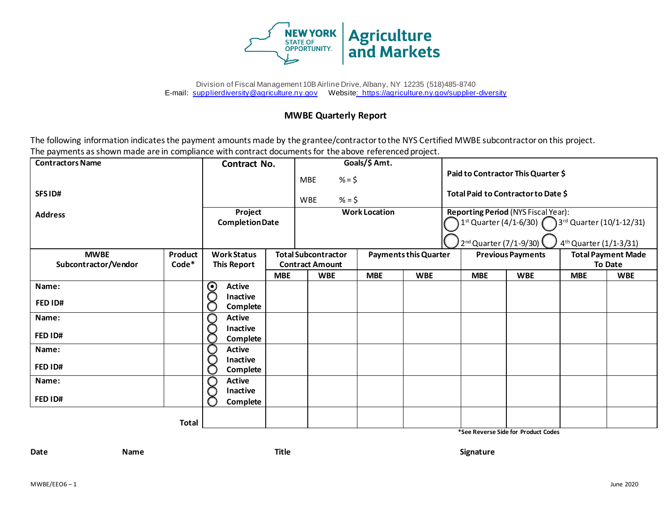

Division of Fiscal Management 10B Airline Drive, Albany, NY 12235 (518)485-8740 E-mail: [supplierdiversity@agriculture.ny.gov](mailto:supplierdiversity@agriculture.ny.gov) Website: <https://agriculture.ny.gov/supplier-diversity>

## **MWBE Quarterly Report**

The following information indicates the payment amounts made by the grantee/contractor to the NYS Certified MWBE subcontractor on this project. The payments as shown made are in compliance with contract documents for the above referenced project.

| <b>Contractors Name</b> |         | Contract No.                      |            | Goals/\$ Amt.                                              |                      |            |                          |                                                                                                                |                                    |                |  |
|-------------------------|---------|-----------------------------------|------------|------------------------------------------------------------|----------------------|------------|--------------------------|----------------------------------------------------------------------------------------------------------------|------------------------------------|----------------|--|
|                         |         |                                   |            | <b>MBE</b>                                                 | $% = $$              |            |                          | Paid to Contractor This Quarter \$                                                                             |                                    |                |  |
| SFS ID#                 |         |                                   |            | <b>WBE</b>                                                 | $% = $$              |            |                          | Total Paid to Contractor to Date \$                                                                            |                                    |                |  |
| <b>Address</b>          |         | Project<br><b>Completion Date</b> |            |                                                            | <b>Work Location</b> |            |                          | Reporting Period (NYS Fiscal Year):<br>1 <sup>st</sup> Quarter (4/1-6/30) 3 <sup>rd</sup> Quarter (10/1-12/31) |                                    |                |  |
|                         |         |                                   |            |                                                            |                      |            |                          | $2^{nd}$ Quarter (7/1-9/30)                                                                                    | 4 <sup>th</sup> Quarter (1/1-3/31) |                |  |
| <b>MWBE</b>             | Product | <b>Work Status</b>                |            | <b>Total Subcontractor</b><br><b>Payments this Quarter</b> |                      |            | <b>Previous Payments</b> |                                                                                                                | <b>Total Payment Made</b>          |                |  |
| Subcontractor/Vendor    | Code*   | <b>This Report</b>                |            | <b>Contract Amount</b>                                     |                      |            |                          |                                                                                                                |                                    | <b>To Date</b> |  |
|                         |         |                                   | <b>MBE</b> | <b>WBE</b>                                                 | <b>MBE</b>           | <b>WBE</b> | <b>MBE</b>               | <b>WBE</b>                                                                                                     | <b>MBE</b>                         | <b>WBE</b>     |  |
| Name:                   |         | C<br>Active                       |            |                                                            |                      |            |                          |                                                                                                                |                                    |                |  |
| FED ID#                 |         | <b>Inactive</b><br>Complete       |            |                                                            |                      |            |                          |                                                                                                                |                                    |                |  |
| Name:                   |         | <b>Active</b>                     |            |                                                            |                      |            |                          |                                                                                                                |                                    |                |  |
| FED ID#                 |         | <b>Inactive</b><br>Complete       |            |                                                            |                      |            |                          |                                                                                                                |                                    |                |  |
| Name:                   |         | Active                            |            |                                                            |                      |            |                          |                                                                                                                |                                    |                |  |
| FED ID#                 |         | Inactive<br>Complete              |            |                                                            |                      |            |                          |                                                                                                                |                                    |                |  |
| Name:                   |         | <b>Active</b>                     |            |                                                            |                      |            |                          |                                                                                                                |                                    |                |  |
| FED ID#                 |         | Inactive<br>Complete              |            |                                                            |                      |            |                          |                                                                                                                |                                    |                |  |
|                         | Total   |                                   |            |                                                            |                      |            |                          |                                                                                                                |                                    |                |  |

**\*See Reverse Side for Product Codes**